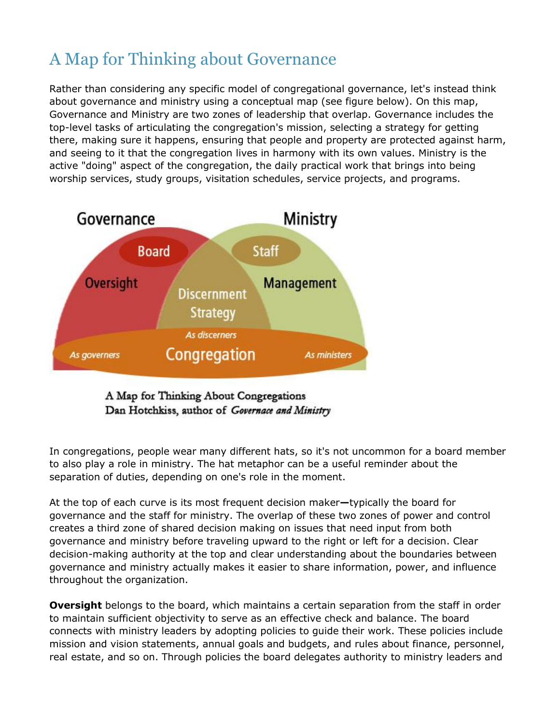## A Map for Thinking about Governance

Rather than considering any specific model of congregational governance, let's instead think about governance and ministry using a conceptual map (see figure below). On this map, Governance and Ministry are two zones of leadership that overlap. Governance includes the top-level tasks of articulating the congregation's mission, selecting a strategy for getting there, making sure it happens, ensuring that people and property are protected against harm, and seeing to it that the congregation lives in harmony with its own values. Ministry is the active "doing" aspect of the congregation, the daily practical work that brings into being worship services, study groups, visitation schedules, service projects, and programs.



A Map for Thinking About Congregations Dan Hotchkiss, author of Governace and Ministry

In congregations, people wear many different hats, so it's not uncommon for a board member to also play a role in ministry. The hat metaphor can be a useful reminder about the separation of duties, depending on one's role in the moment.

At the top of each curve is its most frequent decision maker**—**typically the board for governance and the staff for ministry. The overlap of these two zones of power and control creates a third zone of shared decision making on issues that need input from both governance and ministry before traveling upward to the right or left for a decision. Clear decision-making authority at the top and clear understanding about the boundaries between governance and ministry actually makes it easier to share information, power, and influence throughout the organization.

**Oversight** belongs to the board, which maintains a certain separation from the staff in order to maintain sufficient objectivity to serve as an effective check and balance. The board connects with ministry leaders by adopting policies to guide their work. These policies include mission and vision statements, annual goals and budgets, and rules about finance, personnel, real estate, and so on. Through policies the board delegates authority to ministry leaders and